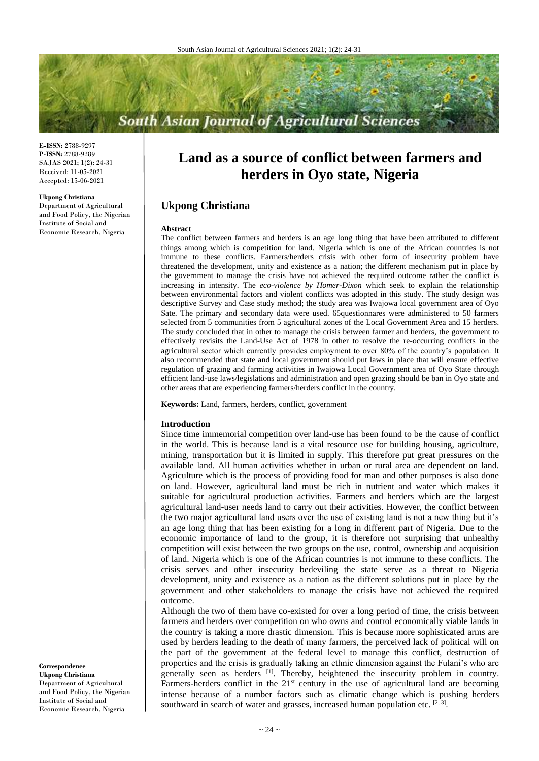# **South Asian Journal of Agricultural Sciences**

**E-ISSN:** 2788-9297 **P-ISSN:** 2788-9289 SAJAS 2021; 1(2): 24-31 Received: 11-05-2021 Accepted: 15-06-2021

#### **Ukpong Christiana**

Department of Agricultural and Food Policy, the Nigerian Institute of Social and Economic Research, Nigeria

# **Land as a source of conflict between farmers and herders in Oyo state, Nigeria**

# **Ukpong Christiana**

#### **Abstract**

The conflict between farmers and herders is an age long thing that have been attributed to different things among which is competition for land. Nigeria which is one of the African countries is not immune to these conflicts. Farmers/herders crisis with other form of insecurity problem have threatened the development, unity and existence as a nation; the different mechanism put in place by the government to manage the crisis have not achieved the required outcome rather the conflict is increasing in intensity. The *eco-violence by Homer-Dixon* which seek to explain the relationship between environmental factors and violent conflicts was adopted in this study. The study design was descriptive Survey and Case study method; the study area was Iwajowa local government area of Oyo Sate. The primary and secondary data were used. 65questionnares were administered to 50 farmers selected from 5 communities from 5 agricultural zones of the Local Government Area and 15 herders. The study concluded that in other to manage the crisis between farmer and herders, the government to effectively revisits the Land-Use Act of 1978 in other to resolve the re-occurring conflicts in the agricultural sector which currently provides employment to over 80% of the country's population. It also recommended that state and local government should put laws in place that will ensure effective regulation of grazing and farming activities in Iwajowa Local Government area of Oyo State through efficient land-use laws/legislations and administration and open grazing should be ban in Oyo state and other areas that are experiencing farmers/herders conflict in the country.

**Keywords:** Land, farmers, herders, conflict, government

#### **Introduction**

Since time immemorial competition over land-use has been found to be the cause of conflict in the world. This is because land is a vital resource use for building housing, agriculture, mining, transportation but it is limited in supply. This therefore put great pressures on the available land. All human activities whether in urban or rural area are dependent on land. Agriculture which is the process of providing food for man and other purposes is also done on land. However, agricultural land must be rich in nutrient and water which makes it suitable for agricultural production activities. Farmers and herders which are the largest agricultural land-user needs land to carry out their activities. However, the conflict between the two major agricultural land users over the use of existing land is not a new thing but it's an age long thing that has been existing for a long in different part of Nigeria. Due to the economic importance of land to the group, it is therefore not surprising that unhealthy competition will exist between the two groups on the use, control, ownership and acquisition of land. Nigeria which is one of the African countries is not immune to these conflicts. The crisis serves and other insecurity bedeviling the state serve as a threat to Nigeria development, unity and existence as a nation as the different solutions put in place by the government and other stakeholders to manage the crisis have not achieved the required outcome.

Although the two of them have co-existed for over a long period of time, the crisis between farmers and herders over competition on who owns and control economically viable lands in the country is taking a more drastic dimension. This is because more sophisticated arms are used by herders leading to the death of many farmers, the perceived lack of political will on the part of the government at the federal level to manage this conflict, destruction of properties and the crisis is gradually taking an ethnic dimension against the Fulani's who are generally seen as herders [1]. Thereby, heightened the insecurity problem in country. Farmers-herders conflict in the 21<sup>st</sup> century in the use of agricultural land are becoming intense because of a number factors such as climatic change which is pushing herders southward in search of water and grasses, increased human population etc.  $[2, 3]$ .

**Correspondence Ukpong Christiana** Department of Agricultural and Food Policy, the Nigerian Institute of Social and Economic Research, Nigeria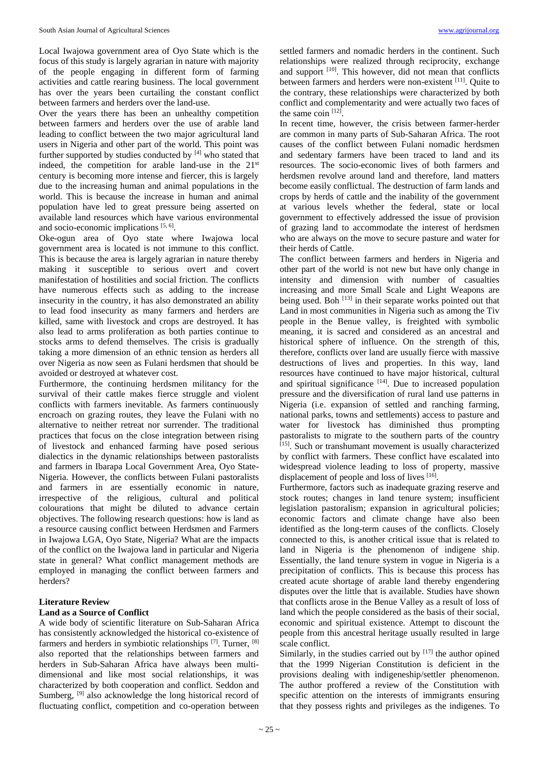Local Iwajowa government area of Oyo State which is the focus of this study is largely agrarian in nature with majority of the people engaging in different form of farming activities and cattle rearing business. The local government has over the years been curtailing the constant conflict between farmers and herders over the land-use.

Over the years there has been an unhealthy competition between farmers and herders over the use of arable land leading to conflict between the two major agricultural land users in Nigeria and other part of the world. This point was further supported by studies conducted by  $[4]$  who stated that indeed, the competition for arable land-use in the 21st century is becoming more intense and fiercer, this is largely due to the increasing human and animal populations in the world. This is because the increase in human and animal population have led to great pressure being asserted on available land resources which have various environmental and socio-economic implications [5, 6].

Oke-ogun area of Oyo state where Iwajowa local government area is located is not immune to this conflict. This is because the area is largely agrarian in nature thereby making it susceptible to serious overt and covert manifestation of hostilities and social friction. The conflicts have numerous effects such as adding to the increase insecurity in the country, it has also demonstrated an ability to lead food insecurity as many farmers and herders are killed, same with livestock and crops are destroyed. It has also lead to arms proliferation as both parties continue to stocks arms to defend themselves. The crisis is gradually taking a more dimension of an ethnic tension as herders all over Nigeria as now seen as Fulani herdsmen that should be avoided or destroyed at whatever cost.

Furthermore, the continuing herdsmen militancy for the survival of their cattle makes fierce struggle and violent conflicts with farmers inevitable. As farmers continuously encroach on grazing routes, they leave the Fulani with no alternative to neither retreat nor surrender. The traditional practices that focus on the close integration between rising of livestock and enhanced farming have posed serious dialectics in the dynamic relationships between pastoralists and farmers in Ibarapa Local Government Area, Oyo State-Nigeria. However, the conflicts between Fulani pastoralists and farmers in are essentially economic in nature, irrespective of the religious, cultural and political colourations that might be diluted to advance certain objectives. The following research questions: how is land as a resource causing conflict between Herdsmen and Farmers in Iwajowa LGA, Oyo State, Nigeria? What are the impacts of the conflict on the Iwajowa land in particular and Nigeria state in general? What conflict management methods are employed in managing the conflict between farmers and herders?

# **Literature Review**

# **Land as a Source of Conflict**

A wide body of scientific literature on Sub-Saharan Africa has consistently acknowledged the historical co-existence of farmers and herders in symbiotic relationships [7]. Turner, [8] also reported that the relationships between farmers and herders in Sub-Saharan Africa have always been multidimensional and like most social relationships, it was characterized by both cooperation and conflict. Seddon and Sumberg, <sup>[9]</sup> also acknowledge the long historical record of fluctuating conflict, competition and co-operation between

settled farmers and nomadic herders in the continent. Such relationships were realized through reciprocity, exchange and support <sup>[10]</sup>. This however, did not mean that conflicts between farmers and herders were non-existent [11]. Quite to the contrary, these relationships were characterized by both conflict and complementarity and were actually two faces of the same coin [12].

In recent time, however, the crisis between farmer-herder are common in many parts of Sub-Saharan Africa. The root causes of the conflict between Fulani nomadic herdsmen and sedentary farmers have been traced to land and its resources. The socio-economic lives of both farmers and herdsmen revolve around land and therefore, land matters become easily conflictual. The destruction of farm lands and crops by herds of cattle and the inability of the government at various levels whether the federal, state or local government to effectively addressed the issue of provision of grazing land to accommodate the interest of herdsmen who are always on the move to secure pasture and water for their herds of Cattle.

The conflict between farmers and herders in Nigeria and other part of the world is not new but have only change in intensity and dimension with number of casualties increasing and more Small Scale and Light Weapons are being used. Boh [13] in their separate works pointed out that Land in most communities in Nigeria such as among the Tiv people in the Benue valley, is freighted with symbolic meaning, it is sacred and considered as an ancestral and historical sphere of influence. On the strength of this, therefore, conflicts over land are usually fierce with massive destructions of lives and properties. In this way, land resources have continued to have major historical, cultural and spiritual significance  $[14]$ . Due to increased population pressure and the diversification of rural land use patterns in Nigeria (i.e. expansion of settled and ranching farming, national parks, towns and settlements) access to pasture and water for livestock has diminished thus prompting pastoralists to migrate to the southern parts of the country [15]. Such or transhumant movement is usually characterized by conflict with farmers. These conflict have escalated into widespread violence leading to loss of property, massive displacement of people and loss of lives [16].

Furthermore, factors such as inadequate grazing reserve and stock routes; changes in land tenure system; insufficient legislation pastoralism; expansion in agricultural policies; economic factors and climate change have also been identified as the long-term causes of the conflicts. Closely connected to this, is another critical issue that is related to land in Nigeria is the phenomenon of indigene ship. Essentially, the land tenure system in vogue in Nigeria is a precipitation of conflicts. This is because this process has created acute shortage of arable land thereby engendering disputes over the little that is available. Studies have shown that conflicts arose in the Benue Valley as a result of loss of land which the people considered as the basis of their social, economic and spiritual existence. Attempt to discount the people from this ancestral heritage usually resulted in large scale conflict.

Similarly, in the studies carried out by  $[17]$  the author opined that the 1999 Nigerian Constitution is deficient in the provisions dealing with indigeneship/settler phenomenon. The author proffered a review of the Constitution with specific attention on the interests of immigrants ensuring that they possess rights and privileges as the indigenes. To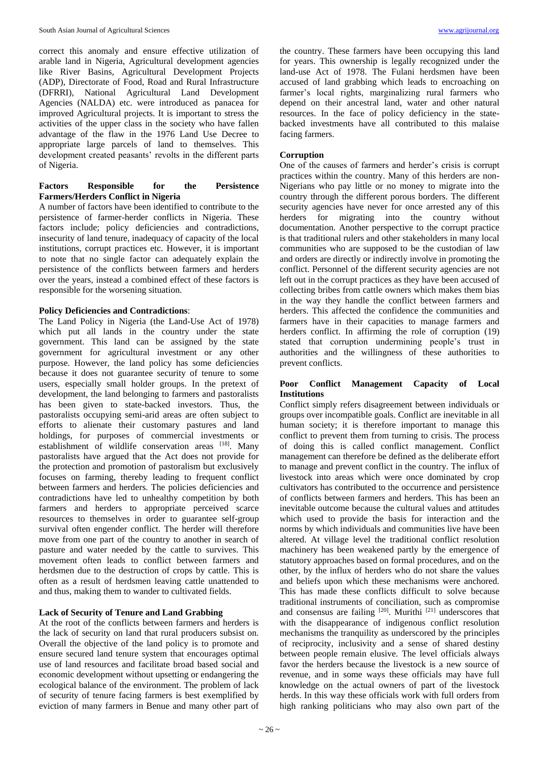correct this anomaly and ensure effective utilization of arable land in Nigeria, Agricultural development agencies like River Basins, Agricultural Development Projects (ADP), Directorate of Food, Road and Rural Infrastructure (DFRRI), National Agricultural Land Development Agencies (NALDA) etc. were introduced as panacea for improved Agricultural projects. It is important to stress the activities of the upper class in the society who have fallen advantage of the flaw in the 1976 Land Use Decree to appropriate large parcels of land to themselves. This development created peasants' revolts in the different parts of Nigeria.

# **Factors Responsible for the Persistence Farmers/Herders Conflict in Nigeria**

A number of factors have been identified to contribute to the persistence of farmer-herder conflicts in Nigeria. These factors include; policy deficiencies and contradictions, insecurity of land tenure, inadequacy of capacity of the local institutions, corrupt practices etc. However, it is important to note that no single factor can adequately explain the persistence of the conflicts between farmers and herders over the years, instead a combined effect of these factors is responsible for the worsening situation.

# **Policy Deficiencies and Contradictions**:

The Land Policy in Nigeria (the Land-Use Act of 1978) which put all lands in the country under the state government. This land can be assigned by the state government for agricultural investment or any other purpose. However, the land policy has some deficiencies because it does not guarantee security of tenure to some users, especially small holder groups. In the pretext of development, the land belonging to farmers and pastoralists has been given to state-backed investors. Thus, the pastoralists occupying semi-arid areas are often subject to efforts to alienate their customary pastures and land holdings, for purposes of commercial investments or establishment of wildlife conservation areas [18]. Many pastoralists have argued that the Act does not provide for the protection and promotion of pastoralism but exclusively focuses on farming, thereby leading to frequent conflict between farmers and herders. The policies deficiencies and contradictions have led to unhealthy competition by both farmers and herders to appropriate perceived scarce resources to themselves in order to guarantee self-group survival often engender conflict. The herder will therefore move from one part of the country to another in search of pasture and water needed by the cattle to survives. This movement often leads to conflict between farmers and herdsmen due to the destruction of crops by cattle. This is often as a result of herdsmen leaving cattle unattended to and thus, making them to wander to cultivated fields.

# **Lack of Security of Tenure and Land Grabbing**

At the root of the conflicts between farmers and herders is the lack of security on land that rural producers subsist on. Overall the objective of the land policy is to promote and ensure secured land tenure system that encourages optimal use of land resources and facilitate broad based social and economic development without upsetting or endangering the ecological balance of the environment. The problem of lack of security of tenure facing farmers is best exemplified by eviction of many farmers in Benue and many other part of

the country. These farmers have been occupying this land for years. This ownership is legally recognized under the land-use Act of 1978. The Fulani herdsmen have been accused of land grabbing which leads to encroaching on farmer's local rights, marginalizing rural farmers who depend on their ancestral land, water and other natural resources. In the face of policy deficiency in the statebacked investments have all contributed to this malaise facing farmers.

# **Corruption**

One of the causes of farmers and herder's crisis is corrupt practices within the country. Many of this herders are non-Nigerians who pay little or no money to migrate into the country through the different porous borders. The different security agencies have never for once arrested any of this herders for migrating into the country without documentation. Another perspective to the corrupt practice is that traditional rulers and other stakeholders in many local communities who are supposed to be the custodian of law and orders are directly or indirectly involve in promoting the conflict. Personnel of the different security agencies are not left out in the corrupt practices as they have been accused of collecting bribes from cattle owners which makes them bias in the way they handle the conflict between farmers and herders. This affected the confidence the communities and farmers have in their capacities to manage farmers and herders conflict. In affirming the role of corruption  $(19)$ stated that corruption undermining people's trust in authorities and the willingness of these authorities to prevent conflicts.

# **Poor Conflict Management Capacity of Local Institutions**

Conflict simply refers disagreement between individuals or groups over incompatible goals. Conflict are inevitable in all human society; it is therefore important to manage this conflict to prevent them from turning to crisis. The process of doing this is called conflict management. Conflict management can therefore be defined as the deliberate effort to manage and prevent conflict in the country. The influx of livestock into areas which were once dominated by crop cultivators has contributed to the occurrence and persistence of conflicts between farmers and herders. This has been an inevitable outcome because the cultural values and attitudes which used to provide the basis for interaction and the norms by which individuals and communities live have been altered. At village level the traditional conflict resolution machinery has been weakened partly by the emergence of statutory approaches based on formal procedures, and on the other, by the influx of herders who do not share the values and beliefs upon which these mechanisms were anchored. This has made these conflicts difficult to solve because traditional instruments of conciliation, such as compromise and consensus are failing  $[20]$ . Murithi  $[21]$  underscores that with the disappearance of indigenous conflict resolution mechanisms the tranquility as underscored by the principles of reciprocity, inclusivity and a sense of shared destiny between people remain elusive. The level officials always favor the herders because the livestock is a new source of revenue, and in some ways these officials may have full knowledge on the actual owners of part of the livestock herds. In this way these officials work with full orders from high ranking politicians who may also own part of the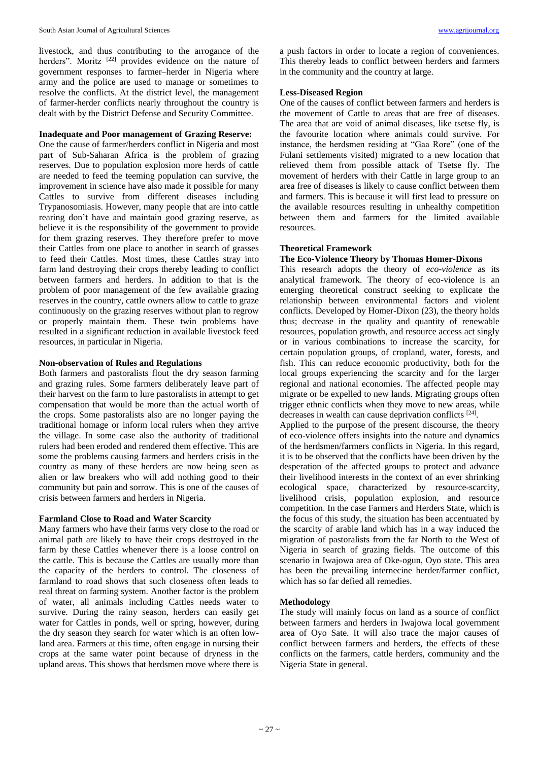livestock, and thus contributing to the arrogance of the herders". Moritz <sup>[22]</sup> provides evidence on the nature of government responses to farmer–herder in Nigeria where army and the police are used to manage or sometimes to resolve the conflicts. At the district level, the management of farmer-herder conflicts nearly throughout the country is dealt with by the District Defense and Security Committee.

#### **Inadequate and Poor management of Grazing Reserve:**

One the cause of farmer/herders conflict in Nigeria and most part of Sub-Saharan Africa is the problem of grazing reserves. Due to population explosion more herds of cattle are needed to feed the teeming population can survive, the improvement in science have also made it possible for many Cattles to survive from different diseases including Trypanosomiasis. However, many people that are into cattle rearing don't have and maintain good grazing reserve, as believe it is the responsibility of the government to provide for them grazing reserves. They therefore prefer to move their Cattles from one place to another in search of grasses to feed their Cattles. Most times, these Cattles stray into farm land destroying their crops thereby leading to conflict between farmers and herders. In addition to that is the problem of poor management of the few available grazing reserves in the country, cattle owners allow to cattle to graze continuously on the grazing reserves without plan to regrow or properly maintain them. These twin problems have resulted in a significant reduction in available livestock feed resources, in particular in Nigeria.

# **Non-observation of Rules and Regulations**

Both farmers and pastoralists flout the dry season farming and grazing rules. Some farmers deliberately leave part of their harvest on the farm to lure pastoralists in attempt to get compensation that would be more than the actual worth of the crops. Some pastoralists also are no longer paying the traditional homage or inform local rulers when they arrive the village. In some case also the authority of traditional rulers had been eroded and rendered them effective. This are some the problems causing farmers and herders crisis in the country as many of these herders are now being seen as alien or law breakers who will add nothing good to their community but pain and sorrow. This is one of the causes of crisis between farmers and herders in Nigeria.

# **Farmland Close to Road and Water Scarcity**

Many farmers who have their farms very close to the road or animal path are likely to have their crops destroyed in the farm by these Cattles whenever there is a loose control on the cattle. This is because the Cattles are usually more than the capacity of the herders to control. The closeness of farmland to road shows that such closeness often leads to real threat on farming system. Another factor is the problem of water, all animals including Cattles needs water to survive. During the rainy season, herders can easily get water for Cattles in ponds, well or spring, however, during the dry season they search for water which is an often lowland area. Farmers at this time, often engage in nursing their crops at the same water point because of dryness in the upland areas. This shows that herdsmen move where there is a push factors in order to locate a region of conveniences. This thereby leads to conflict between herders and farmers in the community and the country at large.

### **Less-Diseased Region**

One of the causes of conflict between farmers and herders is the movement of Cattle to areas that are free of diseases. The area that are void of animal diseases, like tsetse fly, is the favourite location where animals could survive. For instance, the herdsmen residing at "Gaa Rore" (one of the Fulani settlements visited) migrated to a new location that relieved them from possible attack of Tsetse fly. The movement of herders with their Cattle in large group to an area free of diseases is likely to cause conflict between them and farmers. This is because it will first lead to pressure on the available resources resulting in unhealthy competition between them and farmers for the limited available resources.

#### **Theoretical Framework**

### **The Eco-Violence Theory by Thomas Homer-Dixons**

This research adopts the theory of *eco-violence* as its analytical framework. The theory of eco-violence is an emerging theoretical construct seeking to explicate the relationship between environmental factors and violent conflicts. Developed by Homer-Dixon (23), the theory holds thus; decrease in the quality and quantity of renewable resources, population growth, and resource access act singly or in various combinations to increase the scarcity, for certain population groups, of cropland, water, forests, and fish. This can reduce economic productivity, both for the local groups experiencing the scarcity and for the larger regional and national economies. The affected people may migrate or be expelled to new lands. Migrating groups often trigger ethnic conflicts when they move to new areas, while decreases in wealth can cause deprivation conflicts [24].

Applied to the purpose of the present discourse, the theory of eco-violence offers insights into the nature and dynamics of the herdsmen/farmers conflicts in Nigeria. In this regard, it is to be observed that the conflicts have been driven by the desperation of the affected groups to protect and advance their livelihood interests in the context of an ever shrinking ecological space, characterized by resource-scarcity, livelihood crisis, population explosion, and resource competition. In the case Farmers and Herders State, which is the focus of this study, the situation has been accentuated by the scarcity of arable land which has in a way induced the migration of pastoralists from the far North to the West of Nigeria in search of grazing fields. The outcome of this scenario in Iwajowa area of Oke-ogun, Oyo state. This area has been the prevailing internecine herder/farmer conflict, which has so far defied all remedies.

# **Methodology**

The study will mainly focus on land as a source of conflict between farmers and herders in Iwajowa local government area of Oyo Sate. It will also trace the major causes of conflict between farmers and herders, the effects of these conflicts on the farmers, cattle herders, community and the Nigeria State in general.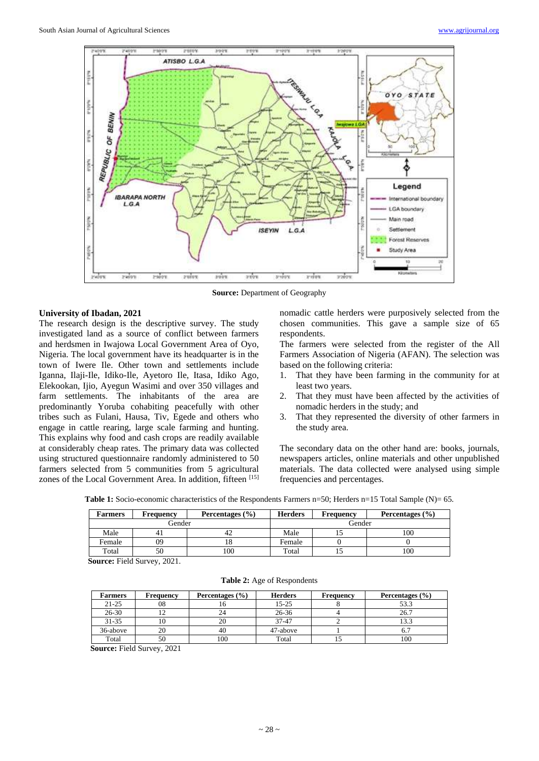

**Source:** Department of Geography

### **University of Ibadan, 2021**

The research design is the descriptive survey. The study investigated land as a source of conflict between farmers and herdsmen in Iwajowa Local Government Area of Oyo, Nigeria. The local government have its headquarter is in the town of Iwere Ile. Other town and settlements include Iganna, Ilaji-Ile, Idiko-Ile, Ayetoro Ile, Itasa, Idiko Ago, Elekookan, Ijio, Ayegun Wasimi and over 350 villages and farm settlements. The inhabitants of the area are predominantly Yoruba cohabiting peacefully with other tribes such as Fulani, Hausa, Tiv, Egede and others who engage in cattle rearing, large scale farming and hunting. This explains why food and cash crops are readily available at considerably cheap rates. The primary data was collected using structured questionnaire randomly administered to 50 farmers selected from 5 communities from 5 agricultural zones of the Local Government Area. In addition, fifteen [15]

nomadic cattle herders were purposively selected from the chosen communities. This gave a sample size of 65 respondents.

The farmers were selected from the register of the All Farmers Association of Nigeria (AFAN). The selection was based on the following criteria:

- 1. That they have been farming in the community for at least two years.
- 2. That they must have been affected by the activities of nomadic herders in the study; and
- 3. That they represented the diversity of other farmers in the study area.

The secondary data on the other hand are: books, journals, newspapers articles, online materials and other unpublished materials. The data collected were analysed using simple frequencies and percentages.

**Table 1:** Socio-economic characteristics of the Respondents Farmers n=50; Herders n=15 Total Sample (N)= 65.

| <b>Farmers</b> | Frequency | Percentages $(\% )$ | <b>Herders</b> | <b>Frequency</b> | Percentages (%) |
|----------------|-----------|---------------------|----------------|------------------|-----------------|
| Gender         |           |                     | Gender         |                  |                 |
| Male           | 41        | 42                  | Male           |                  | 100             |
| Female         | 09        | 10                  | Female         |                  |                 |
| Total          | 50        | 100                 | Total          |                  | 100             |

**Source:** Field Survey, 2021.

### **Table 2:** Age of Respondents

| <b>Farmers</b> | <b>Frequency</b> | Percentages $(\% )$ | <b>Herders</b> | <b>Frequency</b> | Percentages $(\% )$ |
|----------------|------------------|---------------------|----------------|------------------|---------------------|
| $21 - 25$      | 08               | 10                  | $15 - 25$      |                  | 53.3                |
| $26 - 30$      |                  |                     | $26 - 36$      |                  | 26.7                |
| $31 - 35$      | 10               |                     | 37-47          |                  | 13.3                |
| 36-above       | 20               | 40                  | 47-above       |                  |                     |
| Total          | 50               | 100                 | Total          |                  | 100                 |

**Source:** Field Survey, 2021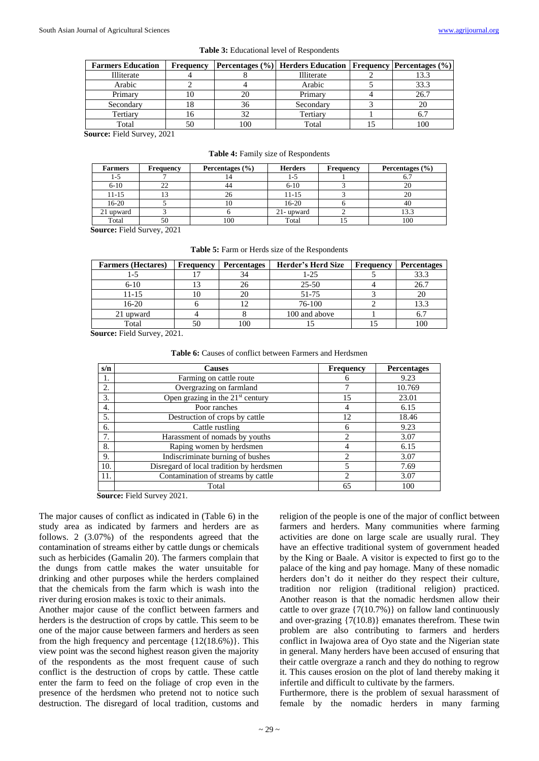| <b>Farmers Education</b> | <b>Frequency</b> |     | <b>Percentages (%)</b> Herders Education   Frequency   Percentages (%) |      |
|--------------------------|------------------|-----|------------------------------------------------------------------------|------|
| Illiterate               |                  |     | Illiterate                                                             | 13.3 |
| Arabic                   |                  |     | Arabic                                                                 | 33.3 |
| Primary                  |                  |     | Primary                                                                | 26.7 |
| Secondary                |                  | 36  | Secondary                                                              |      |
| Tertiary                 |                  | 32  | Tertiary                                                               | O.   |
| Total                    |                  | 100 | Total                                                                  | 100  |

**Source:** Field Survey, 2021

**Table 4:** Family size of Respondents

| <b>Farmers</b> | <b>Frequency</b> | Percentages $(\% )$ | <b>Herders</b> | Frequency | Percentages $(\% )$ |
|----------------|------------------|---------------------|----------------|-----------|---------------------|
| 1-5            |                  |                     | 1-5            |           | υ.                  |
| $6 - 10$       |                  | 44                  | $6 - 10$       |           | 20                  |
| $11 - 15$      |                  | 26 <sup>1</sup>     | $11 - 15$      |           | 20                  |
| $16-20$        |                  | 10                  | $16-20$        |           | 40                  |
| 21 upward      |                  |                     | 21- upward     |           | 13.3                |
| Total          | 50               | 100                 | Total          |           | 100                 |

**Source:** Field Survey, 2021

|  |  |  |  |  | Table 5: Farm or Herds size of the Respondents |
|--|--|--|--|--|------------------------------------------------|
|--|--|--|--|--|------------------------------------------------|

| <b>Farmers</b> (Hectares) | Frequency | <b>Percentages</b> | Herder's Herd Size | Frequency | <b>Percentages</b> |
|---------------------------|-----------|--------------------|--------------------|-----------|--------------------|
| l -5                      |           | 34                 | 1-25               |           | 33.3               |
| $6-10$                    |           | 26                 | 25-50              |           | 26.7               |
| 11-15                     | 10        | 20                 | 51-75              |           |                    |
| $16-20$                   |           |                    | 76-100             |           |                    |
| 21 upward                 |           |                    | 100 and above      |           |                    |
| Total                     | 50        | 100                |                    |           |                    |

**Source:** Field Survey, 2021.

| s/n | <b>Causes</b>                            | <b>Frequency</b>            | Percentages |
|-----|------------------------------------------|-----------------------------|-------------|
| 1.  | Farming on cattle route                  |                             | 9.23        |
| 2.  | Overgrazing on farmland                  |                             | 10.769      |
| 3.  | Open grazing in the $21st$ century       | 15                          | 23.01       |
| 4.  | Poor ranches                             | 4                           | 6.15        |
| 5.  | Destruction of crops by cattle           | 12                          | 18.46       |
| 6.  | Cattle rustling                          | 6                           | 9.23        |
| 7.  | Harassment of nomads by youths           | $\mathcal{D}_{\mathcal{A}}$ | 3.07        |
| 8.  | Raping women by herdsmen                 |                             | 6.15        |
| 9.  | Indiscriminate burning of bushes         | 2                           | 3.07        |
| 10. | Disregard of local tradition by herdsmen | 5                           | 7.69        |
| 11. | Contamination of streams by cattle       | $\mathcal{D}_{\mathcal{L}}$ | 3.07        |
|     | Total                                    | 65                          | 100         |

**Table 6:** Causes of conflict between Farmers and Herdsmen

**Source:** Field Survey 2021.

The major causes of conflict as indicated in (Table 6) in the study area as indicated by farmers and herders are as follows. 2 (3.07%) of the respondents agreed that the contamination of streams either by cattle dungs or chemicals such as herbicides (Gamalin 20). The farmers complain that the dungs from cattle makes the water unsuitable for drinking and other purposes while the herders complained that the chemicals from the farm which is wash into the river during erosion makes is toxic to their animals.

Another major cause of the conflict between farmers and herders is the destruction of crops by cattle. This seem to be one of the major cause between farmers and herders as seen from the high frequency and percentage {12(18.6%)}. This view point was the second highest reason given the majority of the respondents as the most frequent cause of such conflict is the destruction of crops by cattle. These cattle enter the farm to feed on the foliage of crop even in the presence of the herdsmen who pretend not to notice such destruction. The disregard of local tradition, customs and

religion of the people is one of the major of conflict between farmers and herders. Many communities where farming activities are done on large scale are usually rural. They have an effective traditional system of government headed by the King or Baale. A visitor is expected to first go to the palace of the king and pay homage. Many of these nomadic herders don't do it neither do they respect their culture, tradition nor religion (traditional religion) practiced. Another reason is that the nomadic herdsmen allow their cattle to over graze  $\{7(10.7%)\}$  on fallow land continuously and over-grazing {7(10.8)} emanates therefrom. These twin problem are also contributing to farmers and herders conflict in Iwajowa area of Oyo state and the Nigerian state in general. Many herders have been accused of ensuring that their cattle overgraze a ranch and they do nothing to regrow it. This causes erosion on the plot of land thereby making it infertile and difficult to cultivate by the farmers.

Furthermore, there is the problem of sexual harassment of female by the nomadic herders in many farming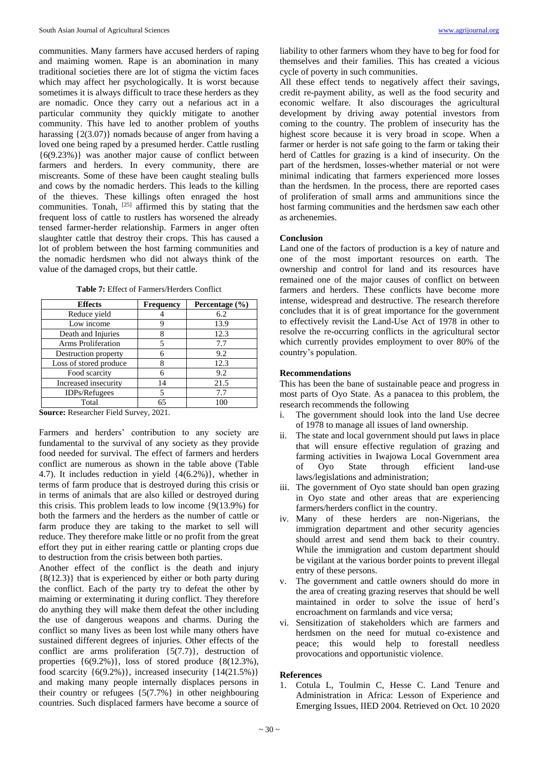communities. Many farmers have accused herders of raping and maiming women. Rape is an abomination in many traditional societies there are lot of stigma the victim faces which may affect her psychologically. It is worst because sometimes it is always difficult to trace these herders as they are nomadic. Once they carry out a nefarious act in a particular community they quickly mitigate to another community. This have led to another problem of youths harassing {2(3.07)} nomads because of anger from having a loved one being raped by a presumed herder. Cattle rustling {6(9.23%)} was another major cause of conflict between farmers and herders. In every community, there are miscreants. Some of these have been caught stealing bulls and cows by the nomadic herders. This leads to the killing of the thieves. These killings often enraged the host communities. Tonah,  $^{[25]}$  affirmed this by stating that the frequent loss of cattle to rustlers has worsened the already tensed farmer-herder relationship. Farmers in anger often slaughter cattle that destroy their crops. This has caused a lot of problem between the host farming communities and the nomadic herdsmen who did not always think of the value of the damaged crops, but their cattle.

**Table 7:** Effect of Farmers/Herders Conflict

| <b>Effects</b>         | <b>Frequency</b> | Percentage (%) |
|------------------------|------------------|----------------|
| Reduce yield           |                  | 6.2            |
| Low income             | 9                | 13.9           |
| Death and Injuries     |                  | 12.3           |
| Arms Proliferation     | 5                | 7.7            |
| Destruction property   |                  | 9.2            |
| Loss of stored produce |                  | 12.3           |
| Food scarcity          | 6                | 9.2            |
| Increased insecurity   | 14               | 21.5           |
| IDPs/Refugees          | 5                | 7.7            |
| Total                  | 65               | 100            |

**Source:** Researcher Field Survey, 2021.

Farmers and herders' contribution to any society are fundamental to the survival of any society as they provide food needed for survival. The effect of farmers and herders conflict are numerous as shown in the table above (Table 4.7). It includes reduction in yield {4(6.2%)}, whether in terms of farm produce that is destroyed during this crisis or in terms of animals that are also killed or destroyed during this crisis. This problem leads to low income {9(13.9%) for both the farmers and the herders as the number of cattle or farm produce they are taking to the market to sell will reduce. They therefore make little or no profit from the great effort they put in either rearing cattle or planting crops due to destruction from the crisis between both parties.

Another effect of the conflict is the death and injury  ${8(12.3)}$  that is experienced by either or both party during the conflict. Each of the party try to defeat the other by maiming or exterminating it during conflict. They therefore do anything they will make them defeat the other including the use of dangerous weapons and charms. During the conflict so many lives as been lost while many others have sustained different degrees of injuries. Other effects of the conflict are arms proliferation  $\{5(7.7)\}\text{, destruction of}$ properties  $\{6(9.2\%)\}$ , loss of stored produce  $\{8(12.3\%)$ , food scarcity  $\{6(9.2\%)\}$ , increased insecurity  $\{14(21.5\%)\}$ and making many people internally displaces persons in their country or refugees {5(7.7%} in other neighbouring countries. Such displaced farmers have become a source of

liability to other farmers whom they have to beg for food for themselves and their families. This has created a vicious cycle of poverty in such communities.

All these effect tends to negatively affect their savings, credit re-payment ability, as well as the food security and economic welfare. It also discourages the agricultural development by driving away potential investors from coming to the country. The problem of insecurity has the highest score because it is very broad in scope. When a farmer or herder is not safe going to the farm or taking their herd of Cattles for grazing is a kind of insecurity. On the part of the herdsmen, losses-whether material or not were minimal indicating that farmers experienced more losses than the herdsmen. In the process, there are reported cases of proliferation of small arms and ammunitions since the host farming communities and the herdsmen saw each other as archenemies.

# **Conclusion**

Land one of the factors of production is a key of nature and one of the most important resources on earth. The ownership and control for land and its resources have remained one of the major causes of conflict on between farmers and herders. These conflicts have become more intense, widespread and destructive. The research therefore concludes that it is of great importance for the government to effectively revisit the Land-Use Act of 1978 in other to resolve the re-occurring conflicts in the agricultural sector which currently provides employment to over 80% of the country's population.

# **Recommendations**

This has been the bane of sustainable peace and progress in most parts of Oyo State. As a panacea to this problem, the research recommends the following

- i. The government should look into the land Use decree of 1978 to manage all issues of land ownership.
- ii. The state and local government should put laws in place that will ensure effective regulation of grazing and farming activities in Iwajowa Local Government area of Oyo State through efficient land-use laws/legislations and administration;
- iii. The government of Oyo state should ban open grazing in Oyo state and other areas that are experiencing farmers/herders conflict in the country.
- iv. Many of these herders are non-Nigerians, the immigration department and other security agencies should arrest and send them back to their country. While the immigration and custom department should be vigilant at the various border points to prevent illegal entry of these persons.
- v. The government and cattle owners should do more in the area of creating grazing reserves that should be well maintained in order to solve the issue of herd's encroachment on farmlands and vice versa;
- vi. Sensitization of stakeholders which are farmers and herdsmen on the need for mutual co-existence and peace; this would help to forestall needless provocations and opportunistic violence.

### **References**

1. Cotula L, Toulmin C, Hesse C. Land Tenure and Administration in Africa: Lesson of Experience and Emerging Issues, IIED 2004. Retrieved on Oct. 10 2020